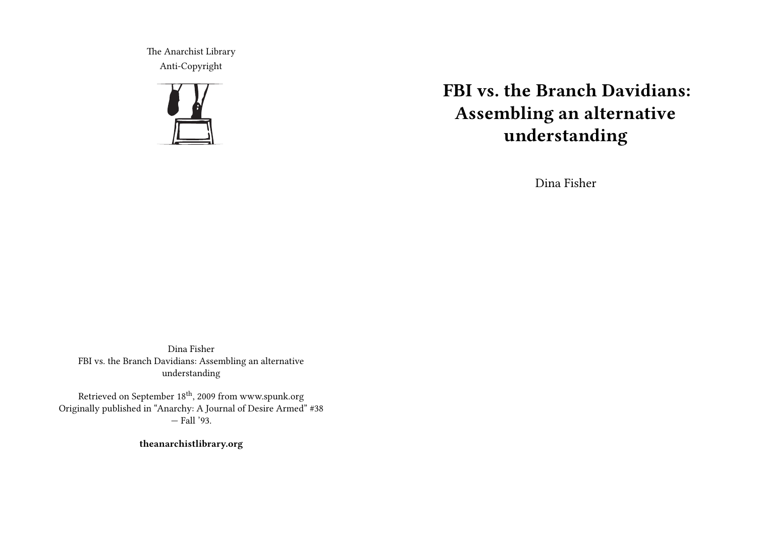The Anarchist Library Anti-Copyright



## **FBI vs. the Branch Davidians: Assembling an alternative understanding**

Dina Fisher

Dina Fisher FBI vs. the Branch Davidians: Assembling an alternative understanding

Retrieved on September 18th, 2009 from www.spunk.org Originally published in "Anarchy: A Journal of Desire Armed" #38 — Fall '93.

**theanarchistlibrary.org**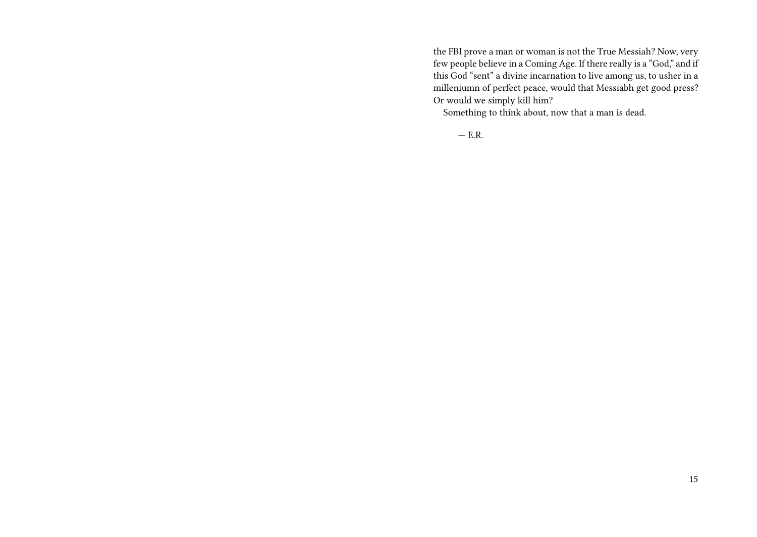the FBI prove a man or woman is not the True Messiah? Now, very few people believe in a Coming Age. If there really is a "God," and if this God "sent" a divine incarnation to live among us, to usher in a milleniumn of perfect peace, would that Messiabh get good press? Or would we simply kill him?

Something to think about, now that a man is dead.

 $-$  E.R.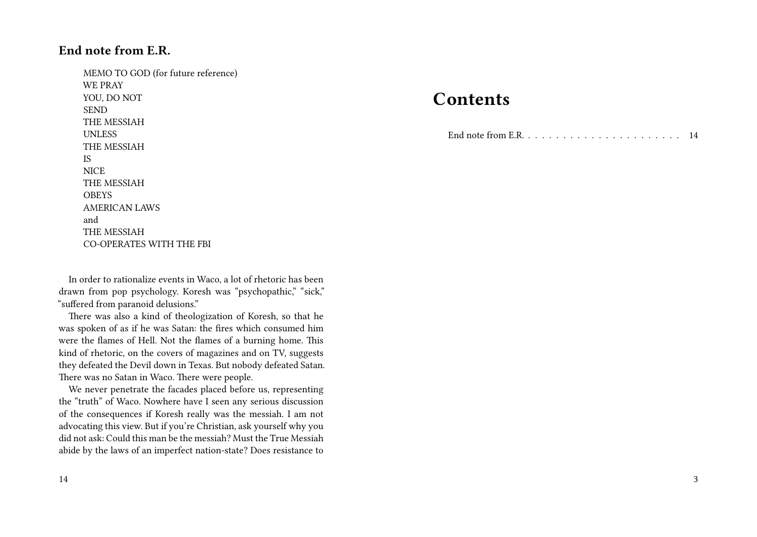## **End note from E.R.**

MEMO TO GOD (for future reference) WE PRAY YOU, DO NOT SEND THE MESSIAH UNLESS THE MESSIAH IS **NICE** THE MESSIAH **OBEYS** AMERICAN LAWS and THE MESSIAH CO-OPERATES WITH THE FBI

In order to rationalize events in Waco, a lot of rhetoric has been drawn from pop psychology. Koresh was "psychopathic," "sick," "suffered from paranoid delusions."

There was also a kind of theologization of Koresh, so that he was spoken of as if he was Satan: the fires which consumed him were the flames of Hell. Not the flames of a burning home. This kind of rhetoric, on the covers of magazines and on TV, suggests they defeated the Devil down in Texas. But nobody defeated Satan. There was no Satan in Waco. There were people.

We never penetrate the facades placed before us, representing the "truth" of Waco. Nowhere have I seen any serious discussion of the consequences if Koresh really was the messiah. I am not advocating this view. But if you're Christian, ask yourself why you did not ask: Could this man be the messiah? Must the True Messiah abide by the laws of an imperfect nation-state? Does resistance to

## **Contents**

End note from E.R. . . . . . . . . . . . . . . . . . . . . . . 14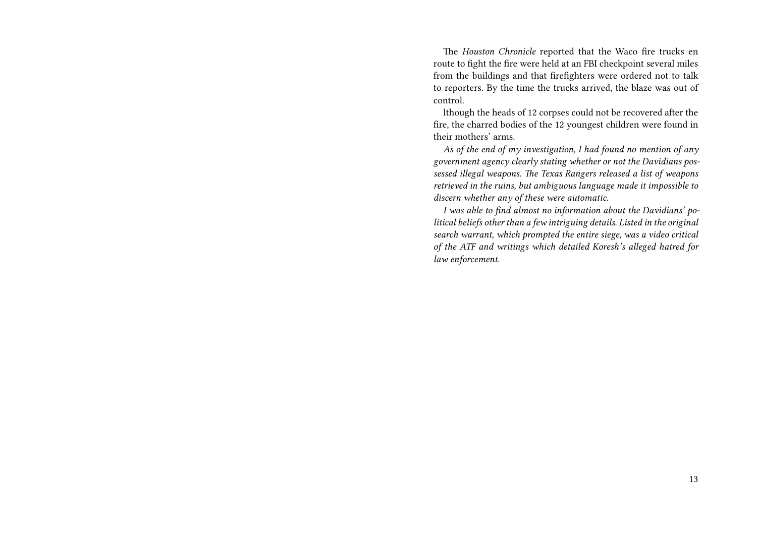The *Houston Chronicle* reported that the Waco fire trucks en route to fight the fire were held at an FBI checkpoint several miles from the buildings and that firefighters were ordered not to talk to reporters. By the time the trucks arrived, the blaze was out of control.

lthough the heads of 12 corpses could not be recovered after the fire, the charred bodies of the 12 youngest children were found in their mothers' arms.

*As of the end of my investigation, I had found no mention of any government agency clearly stating whether or not the Davidians possessed illegal weapons. The Texas Rangers released a list of weapons retrieved in the ruins, but ambiguous language made it impossible to discern whether any of these were automatic.*

*I was able to find almost no information about the Davidians' political beliefs other than a few intriguing details. Listed in the original search warrant, which prompted the entire siege, was a video critical of the ATF and writings which detailed Koresh's alleged hatred for law enforcement.*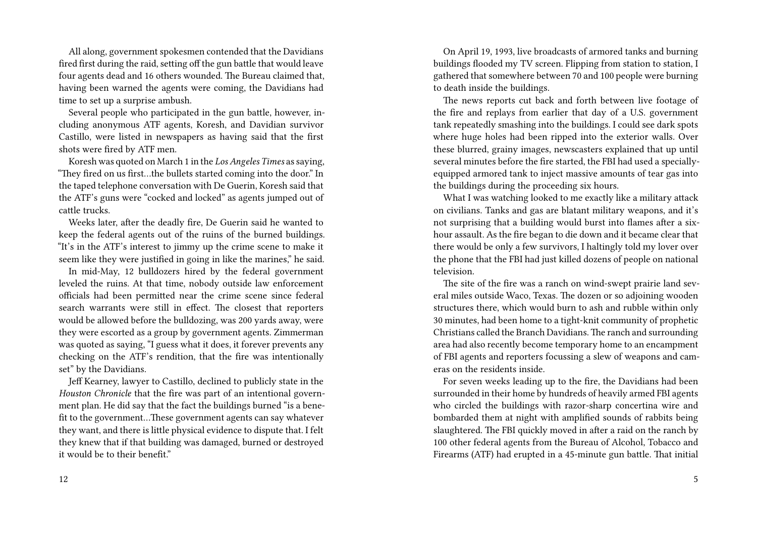All along, government spokesmen contended that the Davidians fired first during the raid, setting off the gun battle that would leave four agents dead and 16 others wounded. The Bureau claimed that, having been warned the agents were coming, the Davidians had time to set up a surprise ambush.

Several people who participated in the gun battle, however, including anonymous ATF agents, Koresh, and Davidian survivor Castillo, were listed in newspapers as having said that the first shots were fired by ATF men.

Koresh was quoted on March 1 in the *Los Angeles Times* as saying, "They fired on us first…the bullets started coming into the door." In the taped telephone conversation with De Guerin, Koresh said that the ATF's guns were "cocked and locked" as agents jumped out of cattle trucks.

Weeks later, after the deadly fire, De Guerin said he wanted to keep the federal agents out of the ruins of the burned buildings. "It's in the ATF's interest to jimmy up the crime scene to make it seem like they were justified in going in like the marines," he said.

In mid-May, 12 bulldozers hired by the federal government leveled the ruins. At that time, nobody outside law enforcement officials had been permitted near the crime scene since federal search warrants were still in effect. The closest that reporters would be allowed before the bulldozing, was 200 yards away, were they were escorted as a group by government agents. Zimmerman was quoted as saying, "I guess what it does, it forever prevents any checking on the ATF's rendition, that the fire was intentionally set" by the Davidians.

Jeff Kearney, lawyer to Castillo, declined to publicly state in the *Houston Chronicle* that the fire was part of an intentional government plan. He did say that the fact the buildings burned "is a benefit to the government…These government agents can say whatever they want, and there is little physical evidence to dispute that. I felt they knew that if that building was damaged, burned or destroyed it would be to their benefit"

12

On April 19, 1993, live broadcasts of armored tanks and burning buildings flooded my TV screen. Flipping from station to station, I gathered that somewhere between 70 and 100 people were burning to death inside the buildings.

The news reports cut back and forth between live footage of the fire and replays from earlier that day of a U.S. government tank repeatedly smashing into the buildings. I could see dark spots where huge holes had been ripped into the exterior walls. Over these blurred, grainy images, newscasters explained that up until several minutes before the fire started, the FBI had used a speciallyequipped armored tank to inject massive amounts of tear gas into the buildings during the proceeding six hours.

What I was watching looked to me exactly like a military attack on civilians. Tanks and gas are blatant military weapons, and it's not surprising that a building would burst into flames after a sixhour assault. As the fire began to die down and it became clear that there would be only a few survivors, I haltingly told my lover over the phone that the FBI had just killed dozens of people on national television.

The site of the fire was a ranch on wind-swept prairie land several miles outside Waco, Texas. The dozen or so adjoining wooden structures there, which would burn to ash and rubble within only 30 minutes, had been home to a tight-knit community of prophetic Christians called the Branch Davidians. The ranch and surrounding area had also recently become temporary home to an encampment of FBI agents and reporters focussing a slew of weapons and cameras on the residents inside.

For seven weeks leading up to the fire, the Davidians had been surrounded in their home by hundreds of heavily armed FBI agents who circled the buildings with razor-sharp concertina wire and bombarded them at night with amplified sounds of rabbits being slaughtered. The FBI quickly moved in after a raid on the ranch by 100 other federal agents from the Bureau of Alcohol, Tobacco and Firearms (ATF) had erupted in a 45-minute gun battle. That initial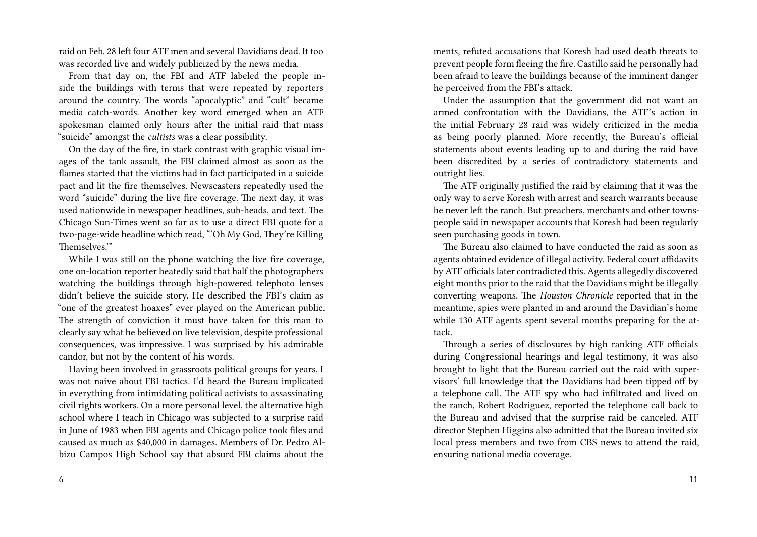raid on Feb. 28 left four ATF men and several Davidians dead. It too was recorded live and widely publicized by the news media.

From that day on, the FBI and ATF labeled the people inside the buildings with terms that were repeated by reporters around the country. The words "apocalyptic" and "cult" became media catch-words. Another key word emerged when an ATF spokesman claimed only hours after the initial raid that mass "suicide" amongst the *cultists* was a clear possibility.

On the day of the fire, in stark contrast with graphic visual images of the tank assault, the FBI claimed almost as soon as the flames started that the victims had in fact participated in a suicide pact and lit the fire themselves. Newscasters repeatedly used the word "suicide" during the live fire coverage. The next day, it was used nationwide in newspaper headlines, sub-heads, and text. The Chicago Sun-Times went so far as to use a direct FBI quote for a two-page-wide headline which read, "'Oh My God, They're Killing Themselves.'"

While I was still on the phone watching the live fire coverage, one on-location reporter heatedly said that half the photographers watching the buildings through high-powered telephoto lenses didn't believe the suicide story. He described the FBI's claim as "one of the greatest hoaxes" ever played on the American public. The strength of conviction it must have taken for this man to clearly say what he believed on live television, despite professional consequences, was impressive. I was surprised by his admirable candor, but not by the content of his words.

Having been involved in grassroots political groups for years, I was not naive about FBI tactics. I'd heard the Bureau implicated in everything from intimidating political activists to assassinating civil rights workers. On a more personal level, the alternative high school where I teach in Chicago was subjected to a surprise raid in June of 1983 when FBI agents and Chicago police took files and caused as much as \$40,000 in damages. Members of Dr. Pedro Albizu Campos High School say that absurd FBI claims about the

ments, refuted accusations that Koresh had used death threats to prevent people form fleeing the fire. Castillo said he personally had been afraid to leave the buildings because of the imminent danger he perceived from the FBI's attack.

Under the assumption that the government did not want an armed confrontation with the Davidians, the ATF's action in the initial February 28 raid was widely criticized in the media as being poorly planned. More recently, the Bureau's official statements about events leading up to and during the raid have been discredited by a series of contradictory statements and outright lies.

The ATF originally justified the raid by claiming that it was the only way to serve Koresh with arrest and search warrants because he never left the ranch. But preachers, merchants and other townspeople said in newspaper accounts that Koresh had been regularly seen purchasing goods in town.

The Bureau also claimed to have conducted the raid as soon as agents obtained evidence of illegal activity. Federal court affidavits by ATF officials later contradicted this. Agents allegedly discovered eight months prior to the raid that the Davidians might be illegally converting weapons. The *Houston Chronicle* reported that in the meantime, spies were planted in and around the Davidian's home while 130 ATF agents spent several months preparing for the attack.

Through a series of disclosures by high ranking ATF officials during Congressional hearings and legal testimony, it was also brought to light that the Bureau carried out the raid with supervisors' full knowledge that the Davidians had been tipped off by a telephone call. The ATF spy who had infiltrated and lived on the ranch, Robert Rodriguez, reported the telephone call back to the Bureau and advised that the surprise raid be canceled. ATF director Stephen Higgins also admitted that the Bureau invited six local press members and two from CBS news to attend the raid, ensuring national media coverage.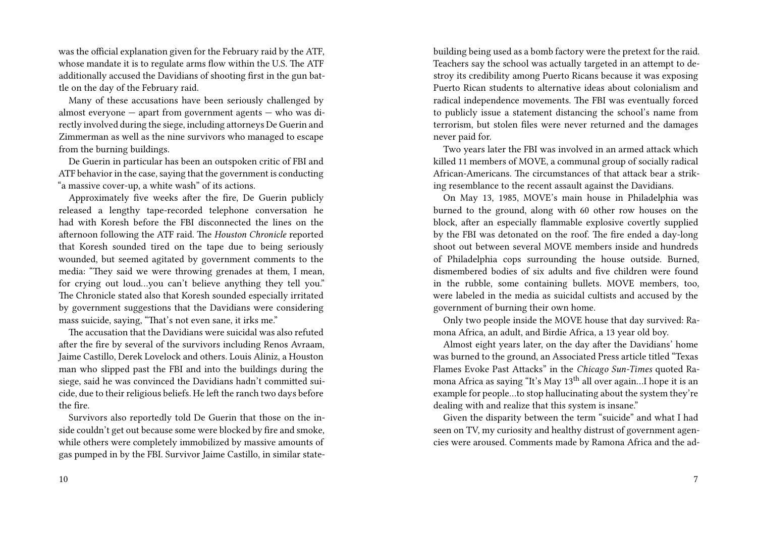was the official explanation given for the February raid by the ATF, whose mandate it is to regulate arms flow within the U.S. The ATF additionally accused the Davidians of shooting first in the gun battle on the day of the February raid.

Many of these accusations have been seriously challenged by almost everyone  $-$  apart from government agents  $-$  who was directly involved during the siege, including attorneys De Guerin and Zimmerman as well as the nine survivors who managed to escape from the burning buildings.

De Guerin in particular has been an outspoken critic of FBI and ATF behavior in the case, saying that the government is conducting "a massive cover-up, a white wash" of its actions.

Approximately five weeks after the fire, De Guerin publicly released a lengthy tape-recorded telephone conversation he had with Koresh before the FBI disconnected the lines on the afternoon following the ATF raid. The *Houston Chronicle* reported that Koresh sounded tired on the tape due to being seriously wounded, but seemed agitated by government comments to the media: "They said we were throwing grenades at them, I mean, for crying out loud…you can't believe anything they tell you." The Chronicle stated also that Koresh sounded especially irritated by government suggestions that the Davidians were considering mass suicide, saying, "That's not even sane, it irks me."

The accusation that the Davidians were suicidal was also refuted after the fire by several of the survivors including Renos Avraam, Jaime Castillo, Derek Lovelock and others. Louis Aliniz, a Houston man who slipped past the FBI and into the buildings during the siege, said he was convinced the Davidians hadn't committed suicide, due to their religious beliefs. He left the ranch two days before the fire.

Survivors also reportedly told De Guerin that those on the inside couldn't get out because some were blocked by fire and smoke, while others were completely immobilized by massive amounts of gas pumped in by the FBI. Survivor Jaime Castillo, in similar statebuilding being used as a bomb factory were the pretext for the raid. Teachers say the school was actually targeted in an attempt to destroy its credibility among Puerto Ricans because it was exposing Puerto Rican students to alternative ideas about colonialism and radical independence movements. The FBI was eventually forced to publicly issue a statement distancing the school's name from terrorism, but stolen files were never returned and the damages never paid for.

Two years later the FBI was involved in an armed attack which killed 11 members of MOVE, a communal group of socially radical African-Americans. The circumstances of that attack bear a striking resemblance to the recent assault against the Davidians.

On May 13, 1985, MOVE's main house in Philadelphia was burned to the ground, along with 60 other row houses on the block, after an especially flammable explosive covertly supplied by the FBI was detonated on the roof. The fire ended a day-long shoot out between several MOVE members inside and hundreds of Philadelphia cops surrounding the house outside. Burned, dismembered bodies of six adults and five children were found in the rubble, some containing bullets. MOVE members, too, were labeled in the media as suicidal cultists and accused by the government of burning their own home.

Only two people inside the MOVE house that day survived: Ramona Africa, an adult, and Birdie Africa, a 13 year old boy.

Almost eight years later, on the day after the Davidians' home was burned to the ground, an Associated Press article titled "Texas Flames Evoke Past Attacks" in the *Chicago Sun-Times* quoted Ramona Africa as saying "It's May 13<sup>th</sup> all over again...I hope it is an example for people…to stop hallucinating about the system they're dealing with and realize that this system is insane."

Given the disparity between the term "suicide" and what I had seen on TV, my curiosity and healthy distrust of government agencies were aroused. Comments made by Ramona Africa and the ad